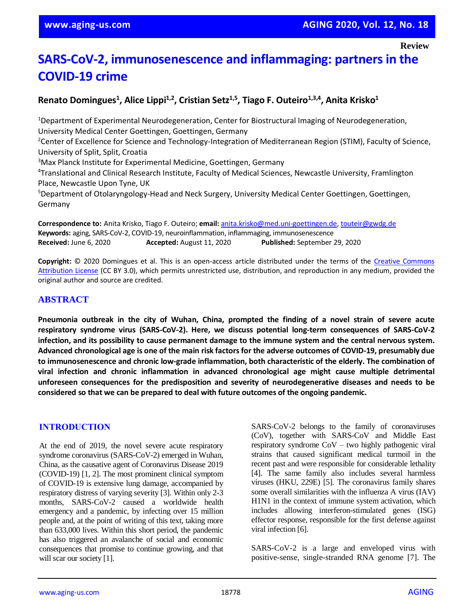# **SARS-CoV-2, immunosenescence and inflammaging: partners in the COVID-19 crime**

# **Renato Domingues<sup>1</sup> , Alice Lippi1,2, Cristian Setz1,5, Tiago F. Outeiro1,3,4, Anita Krisko<sup>1</sup>**

<sup>1</sup>Department of Experimental Neurodegeneration, Center for Biostructural Imaging of Neurodegeneration, University Medical Center Goettingen, Goettingen, Germany <sup>2</sup>Center of Excellence for Science and Technology-Integration of Mediterranean Region (STIM), Faculty of Science, University of Split, Split, Croatia

<sup>3</sup>Max Planck Institute for Experimental Medicine, Goettingen, Germany

4 Translational and Clinical Research Institute, Faculty of Medical Sciences, Newcastle University, Framlington Place, Newcastle Upon Tyne, UK

<sup>5</sup>Department of Otolaryngology-Head and Neck Surgery, University Medical Center Goettingen, Goettingen, Germany

**Correspondence to:** Anita Krisko, Tiago F. Outeiro; **email:** [anita.krisko@med.uni-goettingen.de,](mailto:anita.krisko@med.uni-goettingen.de) [touteir@gwdg.de](mailto:touteir@gwdg.de) **Keywords:** aging, SARS-CoV-2, COVID-19, neuroinflammation, inflammaging, immunosenescence **Received:** June 6, 2020 **Accepted:** August 11, 2020 **Published:** September 29, 2020

**Copyright:** © 2020 Domingues et al. This is an open-access article distributed under the terms of the [Creative Commons](https://creativecommons.org/licenses/by/3.0/)  [Attribution License](https://creativecommons.org/licenses/by/3.0/) (CC BY 3.0), which permits unrestricted use, distribution, and reproduction in any medium, provided the original author and source are credited.

#### **ABSTRACT**

Pneumonia outbreak in the city of Wuhan, China, prompted the finding of a novel strain of severe acute **respiratory syndrome virus (SARS-CoV-2). Here, we discuss potential long-term consequences of SARS-CoV-2** infection, and its possibility to cause permanent damage to the immune system and the central nervous system. Advanced chronological age is one of the main risk factors for the adverse outcomes of COVID-19, presumably due **to immunosenescence and chronic low-grade inflammation, both characteristic of the elderly. The combination of viral infection and chronic inflammation in advanced chronological age might cause multiple detrimental unforeseen consequences for the predisposition and severity of neurodegenerative diseases and needs to be considered so that we can be prepared to deal with future outcomes of the ongoing pandemic.**

#### **INTRODUCTION**

At the end of 2019, the novel severe acute respiratory syndrome coronavirus (SARS-CoV-2) emerged in Wuhan, China, as the causative agent of Coronavirus Disease 2019 (COVID-19) [1, 2]. The most prominent clinical symptom of COVID-19 is extensive lung damage, accompanied by respiratory distress of varying severity [3]. Within only 2-3 months, SARS-CoV-2 caused a worldwide health emergency and a pandemic, by infecting over 15 million people and, at the point of writing of this text, taking more than 633,000 lives. Within this short period, the pandemic has also triggered an avalanche of social and economic consequences that promise to continue growing, and that will scar our society [1].

SARS-CoV-2 belongs to the family of coronaviruses (CoV), together with SARS-CoV and Middle East respiratory syndrome CoV – two highly pathogenic viral strains that caused significant medical turmoil in the recent past and were responsible for considerable lethality [4]. The same family also includes several harmless viruses (HKU, 229E) [5]. The coronavirus family shares some overall similarities with the influenza A virus (IAV) H1N1 in the context of immune system activation, which includes allowing interferon-stimulated genes (ISG) effector response, responsible for the first defense against viral infection [6].

SARS-CoV-2 is a large and enveloped virus with positive-sense, single-stranded RNA genome [7]. The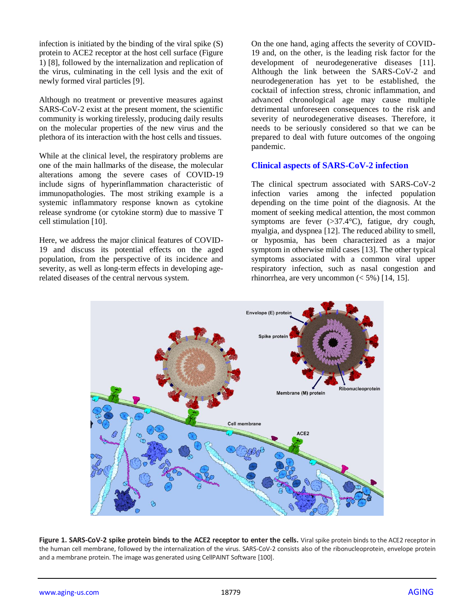infection is initiated by the binding of the viral spike (S) protein to ACE2 receptor at the host cell surface (Figure 1) [8], followed by the internalization and replication of the virus, culminating in the cell lysis and the exit of newly formed viral particles [9].

Although no treatment or preventive measures against SARS-CoV-2 exist at the present moment, the scientific community is working tirelessly, producing daily results on the molecular properties of the new virus and the plethora of its interaction with the host cells and tissues.

While at the clinical level, the respiratory problems are one of the main hallmarks of the disease, the molecular alterations among the severe cases of COVID-19 include signs of hyperinflammation characteristic of immunopathologies. The most striking example is a systemic inflammatory response known as cytokine release syndrome (or cytokine storm) due to massive T cell stimulation [10].

Here, we address the major clinical features of COVID-19 and discuss its potential effects on the aged population, from the perspective of its incidence and severity, as well as long-term effects in developing agerelated diseases of the central nervous system.

On the one hand, aging affects the severity of COVID-19 and, on the other, is the leading risk factor for the development of neurodegenerative diseases [11]. Although the link between the SARS-CoV-2 and neurodegeneration has yet to be established, the cocktail of infection stress, chronic inflammation, and advanced chronological age may cause multiple detrimental unforeseen consequences to the risk and severity of neurodegenerative diseases. Therefore, it needs to be seriously considered so that we can be prepared to deal with future outcomes of the ongoing pandemic.

#### **Clinical aspects of SARS-CoV-2 infection**

The clinical spectrum associated with SARS-CoV-2 infection varies among the infected population depending on the time point of the diagnosis. At the moment of seeking medical attention, the most common symptoms are fever (>37.4°C), fatigue, dry cough, myalgia, and dyspnea [12]. The reduced ability to smell, or hyposmia, has been characterized as a major symptom in otherwise mild cases [13]. The other typical symptoms associated with a common viral upper respiratory infection, such as nasal congestion and rhinorrhea, are very uncommon  $(< 5\%)$  [14, 15].



**Figure 1. SARS-CoV-2 spike protein binds to the ACE2 receptor to enter the cells.** Viral spike protein binds to the ACE2 receptor in the human cell membrane, followed by the internalization of the virus. SARS-CoV-2 consists also of the ribonucleoprotein, envelope protein and a membrane protein. The image was generated using CellPAINT Software [100].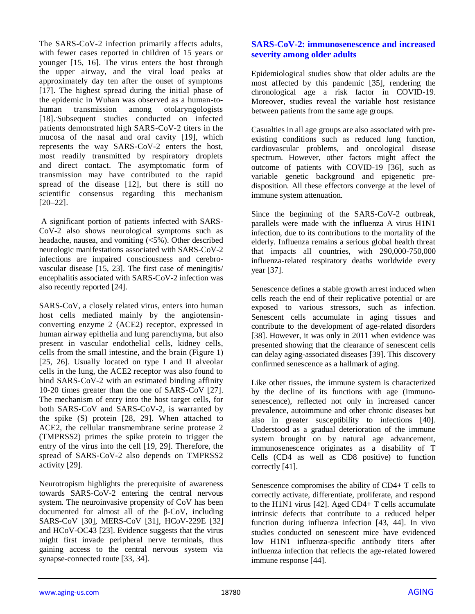The SARS-CoV-2 infection primarily affects adults, with fewer cases reported in children of 15 years or younger [15, 16]. The virus enters the host through the upper airway, and the viral load peaks at approximately day ten after the onset of symptoms [17]. The highest spread during the initial phase of the epidemic in Wuhan was observed as a human-tohuman transmission among otolaryngologists [18]. .Subsequent studies conducted on infected patients demonstrated high SARS-CoV-2 titers in the mucosa of the nasal and oral cavity [19], which represents the way SARS-CoV-2 enters the host, most readily transmitted by respiratory droplets and direct contact. The asymptomatic form of transmission may have contributed to the rapid spread of the disease [12], but there is still no scientific consensus regarding this mechanism  $[20-22]$ .

A significant portion of patients infected with SARS-CoV-2 also shows neurological symptoms such as headache, nausea, and vomiting (<5%). Other described neurologic manifestations associated with SARS-CoV-2 infections are impaired consciousness and cerebrovascular disease [15, 23]. The first case of meningitis/ encephalitis associated with SARS-CoV-2 infection was also recently reported [24].

SARS-CoV, a closely related virus, enters into human host cells mediated mainly by the angiotensinconverting enzyme 2 (ACE2) receptor, expressed in human airway epithelia and lung parenchyma, but also present in vascular endothelial cells, kidney cells, cells from the small intestine, and the brain (Figure 1) [25, 26]. Usually located on type I and II alveolar cells in the lung, the ACE2 receptor was also found to bind SARS-CoV-2 with an estimated binding affinity 10-20 times greater than the one of SARS-CoV [27]. The mechanism of entry into the host target cells, for both SARS-CoV and SARS-CoV-2, is warranted by the spike (S) protein [28, 29]. When attached to ACE2, the cellular transmembrane serine protease 2 (TMPRSS2) primes the spike protein to trigger the entry of the virus into the cell [19, 29]. Therefore, the spread of SARS-CoV-2 also depends on TMPRSS2 activity [29].

Neurotropism highlights the prerequisite of awareness towards SARS-CoV-2 entering the central nervous system. The neuroinvasive propensity of CoV has been documented for almost all of the β-CoV, including SARS-CoV [30], MERS-CoV [31], HCoV-229E [32] and HCoV-OC43 [23]. Evidence suggests that the virus might first invade peripheral nerve terminals, thus gaining access to the central nervous system via synapse-connected route [33, 34].

### **SARS-CoV-2: immunosenescence and increased severity among older adults**

Epidemiological studies show that older adults are the most affected by this pandemic [35], rendering the chronological age a risk factor in COVID-19. Moreover, studies reveal the variable host resistance between patients from the same age groups.

Casualties in all age groups are also associated with preexisting conditions such as reduced lung function, cardiovascular problems, and oncological disease spectrum. However, other factors might affect the outcome of patients with COVID-19 [36], such as variable genetic background and epigenetic predisposition. All these effectors converge at the level of immune system attenuation.

Since the beginning of the SARS-CoV-2 outbreak, parallels were made with the influenza A virus H1N1 infection, due to its contributions to the mortality of the elderly. Influenza remains a serious global health threat that impacts all countries, with 290,000-750,000 influenza-related respiratory deaths worldwide every year [37].

Senescence defines a stable growth arrest induced when cells reach the end of their replicative potential or are exposed to various stressors, such as infection. Senescent cells accumulate in aging tissues and contribute to the development of age-related disorders [38]. However, it was only in 2011 when evidence was presented showing that the clearance of senescent cells can delay aging-associated diseases [39]. This discovery confirmed senescence as a hallmark of aging.

Like other tissues, the immune system is characterized by the decline of its functions with age (immunosenescence), reflected not only in increased cancer prevalence, autoimmune and other chronic diseases but also in greater susceptibility to infections [40]. Understood as a gradual deterioration of the immune system brought on by natural age advancement, immunosenescence originates as a disability of T Cells (CD4 as well as CD8 positive) to function correctly [41].

Senescence compromises the ability of CD4+ T cells to correctly activate, differentiate, proliferate, and respond to the H1N1 virus [42]. Aged CD4+ T cells accumulate intrinsic defects that contribute to a reduced helper function during influenza infection [43, 44]. In vivo studies conducted on senescent mice have evidenced low H1N1 influenza-specific antibody titers after influenza infection that reflects the age-related lowered immune response [44].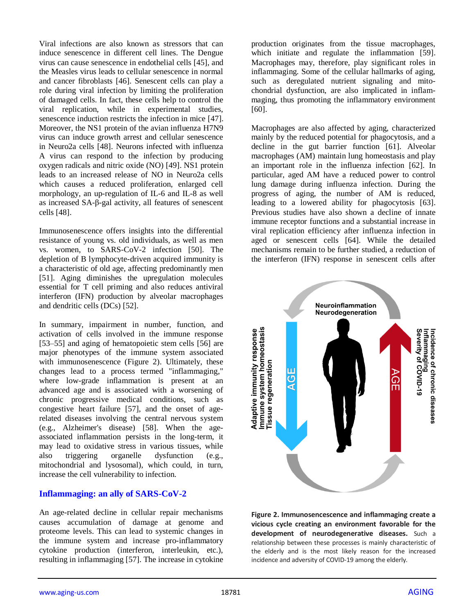Viral infections are also known as stressors that can induce senescence in different cell lines. The Dengue virus can cause senescence in endothelial cells [45], and the Measles virus leads to cellular senescence in normal and cancer fibroblasts [46]. Senescent cells can play a role during viral infection by limiting the proliferation of damaged cells. In fact, these cells help to control the viral replication, while in experimental studies, senescence induction restricts the infection in mice [47]. Moreover, the NS1 protein of the avian influenza H7N9 virus can induce growth arrest and cellular senescence in Neuro2a cells [48]. Neurons infected with influenza A virus can respond to the infection by producing oxygen radicals and nitric oxide (NO) [49]. NS1 protein leads to an increased release of NO in Neuro2a cells which causes a reduced proliferation, enlarged cell morphology, an up-regulation of IL-6 and IL-8 as well as increased SA-β-gal activity, all features of senescent cells [48].

Immunosenescence offers insights into the differential resistance of young vs. old individuals, as well as men vs. women, to SARS-CoV-2 infection [50]. The depletion of B lymphocyte-driven acquired immunity is a characteristic of old age, affecting predominantly men [51]. Aging diminishes the upregulation molecules essential for T cell priming and also reduces antiviral interferon (IFN) production by alveolar macrophages and dendritic cells (DCs) [52].

In summary, impairment in number, function, and activation of cells involved in the immune response [53–55] and aging of hematopoietic stem cells [56] are major phenotypes of the immune system associated with immunosenescence (Figure 2). Ultimately, these changes lead to a process termed "inflammaging," where low-grade inflammation is present at an advanced age and is associated with a worsening of chronic progressive medical conditions, such as congestive heart failure [57], and the onset of agerelated diseases involving the central nervous system (e.g., Alzheimer's disease) [58]. When the ageassociated inflammation persists in the long-term, it may lead to oxidative stress in various tissues, while also triggering organelle dysfunction (e.g., mitochondrial and lysosomal), which could, in turn, increase the cell vulnerability to infection.

#### **Inflammaging: an ally of SARS-CoV-2**

An age-related decline in cellular repair mechanisms causes accumulation of damage at genome and proteome levels. This can lead to systemic changes in the immune system and increase pro-inflammatory cytokine production (interferon, interleukin, etc.), resulting in inflammaging [57]. The increase in cytokine

production originates from the tissue macrophages, which initiate and regulate the inflammation [59]. Macrophages may, therefore, play significant roles in inflammaging. Some of the cellular hallmarks of aging, such as deregulated nutrient signaling and mitochondrial dysfunction, are also implicated in inflammaging, thus promoting the inflammatory environment [60].

Macrophages are also affected by aging, characterized mainly by the reduced potential for phagocytosis, and a decline in the gut barrier function [61]. Alveolar macrophages (AM) maintain lung homeostasis and play an important role in the influenza infection [62]. In particular, aged AM have a reduced power to control lung damage during influenza infection. During the progress of aging, the number of AM is reduced, leading to a lowered ability for phagocytosis [63]. Previous studies have also shown a decline of innate immune receptor functions and a substantial increase in viral replication efficiency after influenza infection in aged or senescent cells [64]. While the detailed mechanisms remain to be further studied, a reduction of the interferon (IFN) response in senescent cells after



**Figure 2. Immunosencescence and inflammaging create a vicious cycle creating an environment favorable for the development of neurodegenerative diseases.** Such a relationship between these processes is mainly characteristic of the elderly and is the most likely reason for the increased incidence and adversity of COVID-19 among the elderly.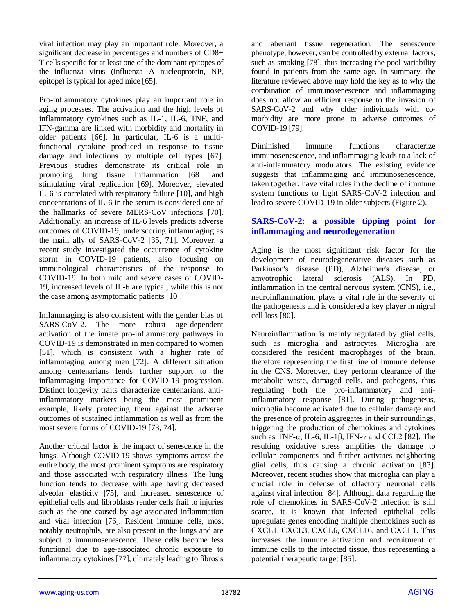viral infection may play an important role. Moreover, a significant decrease in percentages and numbers of CD8+ T cells specific for at least one of the dominant epitopes of the influenza virus (influenza A nucleoprotein, NP, epitope) is typical for aged mice [65].

Pro-inflammatory cytokines play an important role in aging processes. The activation and the high levels of inflammatory cytokines such as IL-1, IL-6, TNF, and IFN-gamma are linked with morbidity and mortality in older patients [66]. In particular, IL-6 is a multifunctional cytokine produced in response to tissue damage and infections by multiple cell types [67]. Previous studies demonstrate its critical role in promoting lung tissue inflammation [68] and stimulating viral replication [69]. Moreover, elevated IL-6 is correlated with respiratory failure [10], and high concentrations of IL-6 in the serum is considered one of the hallmarks of severe MERS-CoV infections [70]. Additionally, an increase of IL-6 levels predicts adverse outcomes of COVID-19, underscoring inflammaging as the main ally of SARS-CoV-2 [35, 71]. Moreover, a recent study investigated the occurrence of cytokine storm in COVID-19 patients, also focusing on immunological characteristics of the response to COVID-19. In both mild and severe cases of COVID-19, increased levels of IL-6 are typical, while this is not the case among asymptomatic patients [10].

Inflammaging is also consistent with the gender bias of SARS-CoV-2. The more robust age-dependent activation of the innate pro-inflammatory pathways in COVID-19 is demonstrated in men compared to women [51], which is consistent with a higher rate of inflammaging among men [72]. A different situation among centenarians lends further support to the inflammaging importance for COVID-19 progression. Distinct longevity traits characterize centenarians, antiinflammatory markers being the most prominent example, likely protecting them against the adverse outcomes of sustained inflammation as well as from the most severe forms of COVID-19 [73, 74].

Another critical factor is the impact of senescence in the lungs. Although COVID-19 shows symptoms across the entire body, the most prominent symptoms are respiratory and those associated with respiratory illness. The lung function tends to decrease with age having decreased alveolar elasticity [75], and increased senescence of epithelial cells and fibroblasts render cells frail to injuries such as the one caused by age-associated inflammation and viral infection [76]. Resident immune cells, most notably neutrophils, are also present in the lungs and are subject to immunosenescence. These cells become less functional due to age-associated chronic exposure to inflammatory cytokines [77], ultimately leading to fibrosis

and aberrant tissue regeneration. The senescence phenotype, however, can be controlled by external factors, such as smoking [78], thus increasing the pool variability found in patients from the same age. In summary, the literature reviewed above may hold the key as to why the combination of immunosenescence and inflammaging does not allow an efficient response to the invasion of SARS-CoV-2 and why older individuals with comorbidity are more prone to adverse outcomes of COVID-19 [79].

Diminished immune functions characterize immunosenescence, and inflammaging leads to a lack of anti-inflammatory modulators. The existing evidence suggests that inflammaging and immunosenescence, taken together, have vital roles in the decline of immune system functions to fight SARS-CoV-2 infection and lead to severe COVID-19 in older subjects (Figure 2).

## **SARS-CoV-2: a possible tipping point for inflammaging and neurodegeneration**

Aging is the most significant risk factor for the development of neurodegenerative diseases such as Parkinson's disease (PD), Alzheimer's disease, or amyotrophic lateral sclerosis (ALS). In PD, inflammation in the central nervous system (CNS), i.e., neuroinflammation, plays a vital role in the severity of the pathogenesis and is considered a key player in nigral cell loss [80].

Neuroinflammation is mainly regulated by glial cells, such as microglia and astrocytes. Microglia are considered the resident macrophages of the brain, therefore representing the first line of immune defense in the CNS. Moreover, they perform clearance of the metabolic waste, damaged cells, and pathogens, thus regulating both the pro-inflammatory and antiinflammatory response [81]. During pathogenesis, microglia become activated due to cellular damage and the presence of protein aggregates in their surroundings, triggering the production of chemokines and cytokines such as TNF- $\alpha$ , IL-6, IL-1 $\beta$ , IFN- $\gamma$  and CCL2 [82]. The resulting oxidative stress amplifies the damage to cellular components and further activates neighboring glial cells, thus causing a chronic activation [83]. Moreover, recent studies show that microglia can play a crucial role in defense of olfactory neuronal cells against viral infection [84]. Although data regarding the role of chemokines in SARS-CoV-2 infection is still scarce, it is known that infected epithelial cells upregulate genes encoding multiple chemokines such as CXCL1, CXCL3, CXCL6, CXCL16, and CXCL1. This increases the immune activation and recruitment of immune cells to the infected tissue, thus representing a potential therapeutic target [85].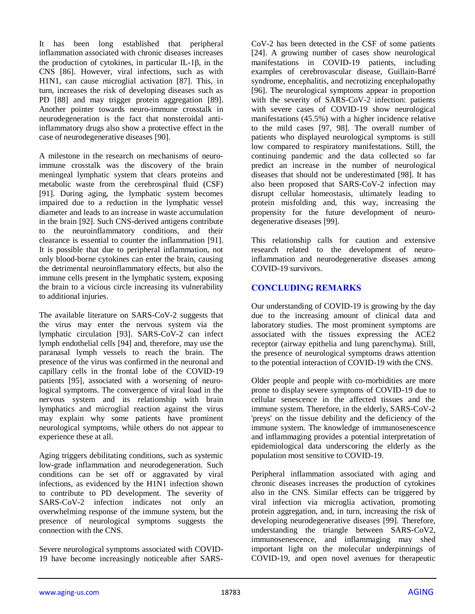It has been long established that peripheral inflammation associated with chronic diseases increases the production of cytokines, in particular IL-1β, in the CNS [86]. However, viral infections, such as with H1N1, can cause microglial activation [87]. This, in turn, increases the risk of developing diseases such as PD [88] and may trigger protein aggregation [89]. Another pointer towards neuro-immune crosstalk in neurodegeneration is the fact that nonsteroidal antiinflammatory drugs also show a protective effect in the case of neurodegenerative diseases [90].

A milestone in the research on mechanisms of neuroimmune crosstalk was the discovery of the brain meningeal lymphatic system that clears proteins and metabolic waste from the cerebrospinal fluid (CSF) [91]. During aging, the lymphatic system becomes impaired due to a reduction in the lymphatic vessel diameter and leads to an increase in waste accumulation in the brain [92]. Such CNS-derived antigens contribute to the neuroinflammatory conditions, and their clearance is essential to counter the inflammation [91]. It is possible that due to peripheral inflammation, not only blood-borne cytokines can enter the brain, causing the detrimental neuroinflammatory effects, but also the immune cells present in the lymphatic system, exposing the brain to a vicious circle increasing its vulnerability to additional injuries.

The available literature on SARS-CoV-2 suggests that the virus may enter the nervous system via the lymphatic circulation [93]. SARS-CoV-2 can infect lymph endothelial cells [94] and, therefore, may use the paranasal lymph vessels to reach the brain. The presence of the virus was confirmed in the neuronal and capillary cells in the frontal lobe of the COVID-19 patients [95], associated with a worsening of neurological symptoms. The convergence of viral load in the nervous system and its relationship with brain lymphatics and microglial reaction against the virus may explain why some patients have prominent neurological symptoms, while others do not appear to experience these at all.

Aging triggers debilitating conditions, such as systemic low-grade inflammation and neurodegeneration. Such conditions can be set off or aggravated by viral infections, as evidenced by the H1N1 infection shown to contribute to PD development. The severity of SARS-CoV-2 infection indicates not only an overwhelming response of the immune system, but the presence of neurological symptoms suggests the connection with the CNS.

Severe neurological symptoms associated with COVID-19 have become increasingly noticeable after SARS- CoV-2 has been detected in the CSF of some patients [24]. A growing number of cases show neurological manifestations in COVID-19 patients, including examples of cerebrovascular disease, Guillain-Barré syndrome, encephalitis, and necrotizing encephalopathy [96]. The neurological symptoms appear in proportion with the severity of SARS-CoV-2 infection: patients with severe cases of COVID-19 show neurological manifestations (45.5%) with a higher incidence relative to the mild cases [97, 98]. The overall number of patients who displayed neurological symptoms is still low compared to respiratory manifestations. Still, the continuing pandemic and the data collected so far predict an increase in the number of neurological diseases that should not be underestimated [98]. It has also been proposed that SARS-CoV-2 infection may disrupt cellular homeostasis, ultimately leading to protein misfolding and, this way, increasing the propensity for the future development of neurodegenerative diseases [99].

This relationship calls for caution and extensive research related to the development of neuroinflammation and neurodegenerative diseases among COVID-19 survivors.

## **CONCLUDING REMARKS**

Our understanding of COVID-19 is growing by the day due to the increasing amount of clinical data and laboratory studies. The most prominent symptoms are associated with the tissues expressing the ACE2 receptor (airway epithelia and lung parenchyma). Still, the presence of neurological symptoms draws attention to the potential interaction of COVID-19 with the CNS.

Older people and people with co-morbidities are more prone to display severe symptoms of COVID-19 due to cellular senescence in the affected tissues and the immune system. Therefore, in the elderly, SARS-CoV-2 'preys' on the tissue debility and the deficiency of the immune system. The knowledge of immunosenescence and inflammaging provides a potential interpretation of epidemiological data underscoring the elderly as the population most sensitive to COVID-19.

Peripheral inflammation associated with aging and chronic diseases increases the production of cytokines also in the CNS. Similar effects can be triggered by viral infection via microglia activation, promoting protein aggregation, and, in turn, increasing the risk of developing neurodegenerative diseases [99]. Therefore, understanding the triangle between SARS-CoV2, immunosenescence, and inflammaging may shed important light on the molecular underpinnings of COVID-19, and open novel avenues for therapeutic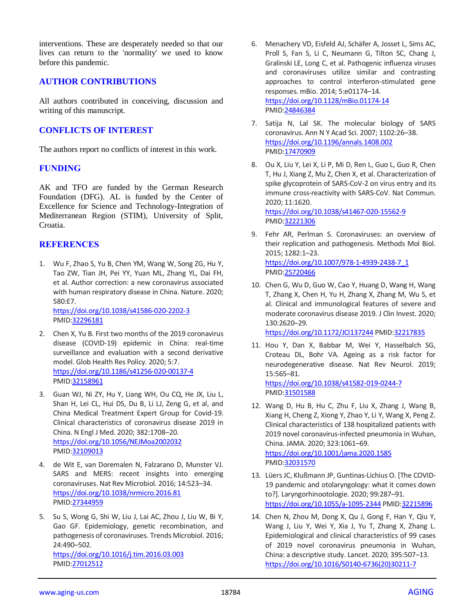interventions. These are desperately needed so that our lives can return to the 'normality' we used to know before this pandemic.

### **AUTHOR CONTRIBUTIONS**

All authors contributed in conceiving, discussion and writing of this manuscript.

## **CONFLICTS OF INTEREST**

The authors report no conflicts of interest in this work.

#### **FUNDING**

AK and TFO are funded by the German Research Foundation (DFG). AL is funded by the Center of Excellence for Science and Technology-Integration of Mediterranean Region (STIM), University of Split, Croatia.

#### **REFERENCES**

1. Wu F, Zhao S, Yu B, Chen YM, Wang W, Song ZG, Hu Y, Tao ZW, Tian JH, Pei YY, Yuan ML, Zhang YL, Dai FH, et al. Author correction: a new coronavirus associated with human respiratory disease in China. Nature. 2020; 580:E7.

<https://doi.org/10.1038/s41586-020-2202-3> PMID[:32296181](https://pubmed.ncbi.nlm.nih.gov/32296181)

- 2. Chen X, Yu B. First two months of the 2019 coronavirus disease (COVID-19) epidemic in China: real-time surveillance and evaluation with a second derivative model. Glob Health Res Policy. 2020; 5:7. <https://doi.org/10.1186/s41256-020-00137-4> PMID[:32158961](https://pubmed.ncbi.nlm.nih.gov/32158961)
- 3. Guan WJ, Ni ZY, Hu Y, Liang WH, Ou CQ, He JX, Liu L, Shan H, Lei CL, Hui DS, Du B, Li LJ, Zeng G, et al, and China Medical Treatment Expert Group for Covid-19. Clinical characteristics of coronavirus disease 2019 in China. N Engl J Med. 2020; 382:1708–20. <https://doi.org/10.1056/NEJMoa2002032> PMID[:32109013](https://pubmed.ncbi.nlm.nih.gov/32109013)
- 4. de Wit E, van Doremalen N, Falzarano D, Munster VJ. SARS and MERS: recent insights into emerging coronaviruses. Nat Rev Microbiol. 2016; 14:523–34. <https://doi.org/10.1038/nrmicro.2016.81> PMID[:27344959](https://pubmed.ncbi.nlm.nih.gov/27344959)
- 5. Su S, Wong G, Shi W, Liu J, Lai AC, Zhou J, Liu W, Bi Y, Gao GF. Epidemiology, genetic recombination, and pathogenesis of coronaviruses. Trends Microbiol. 2016; 24:490–502.

<https://doi.org/10.1016/j.tim.2016.03.003> PMID[:27012512](https://pubmed.ncbi.nlm.nih.gov/27012512)

- 6. Menachery VD, Eisfeld AJ, Schäfer A, Josset L, Sims AC, Proll S, Fan S, Li C, Neumann G, Tilton SC, Chang J, Gralinski LE, Long C, et al. Pathogenic influenza viruses and coronaviruses utilize similar and contrasting approaches to control interferon-stimulated gene responses. mBio. 2014; 5:e01174–14. <https://doi.org/10.1128/mBio.01174-14> PMI[D:24846384](https://pubmed.ncbi.nlm.nih.gov/24846384)
- 7. Satija N, Lal SK. The molecular biology of SARS coronavirus. Ann N Y Acad Sci. 2007; 1102:26–38. <https://doi.org/10.1196/annals.1408.002> PMI[D:17470909](https://pubmed.ncbi.nlm.nih.gov/17470909)
- 8. Ou X, Liu Y, Lei X, Li P, Mi D, Ren L, Guo L, Guo R, Chen T, Hu J, Xiang Z, Mu Z, Chen X, et al. Characterization of spike glycoprotein of SARS-CoV-2 on virus entry and its immune cross-reactivity with SARS-CoV. Nat Commun. 2020; 11:1620. <https://doi.org/10.1038/s41467-020-15562-9>

PMI[D:32221306](https://pubmed.ncbi.nlm.nih.gov/32221306)

- 9. Fehr AR, Perlman S. Coronaviruses: an overview of their replication and pathogenesis. Methods Mol Biol. 2015; 1282:1–23. [https://doi.org/10.1007/978-1-4939-2438-7\\_1](https://doi.org/10.1007/978-1-4939-2438-7_1) PMI[D:25720466](https://pubmed.ncbi.nlm.nih.gov/25720466)
- 10. Chen G, Wu D, Guo W, Cao Y, Huang D, Wang H, Wang T, Zhang X, Chen H, Yu H, Zhang X, Zhang M, Wu S, et al. Clinical and immunological features of severe and moderate coronavirus disease 2019. J Clin Invest. 2020; 130:2620–29. <https://doi.org/10.1172/JCI137244> PMID[:32217835](https://pubmed.ncbi.nlm.nih.gov/32217835)
- 11. Hou Y, Dan X, Babbar M, Wei Y, Hasselbalch SG, Croteau DL, Bohr VA. Ageing as a risk factor for neurodegenerative disease. Nat Rev Neurol. 2019; 15:565–81. <https://doi.org/10.1038/s41582-019-0244-7>

PMI[D:31501588](https://pubmed.ncbi.nlm.nih.gov/31501588) 12. Wang D, Hu B, Hu C, Zhu F, Liu X, Zhang J, Wang B, Xiang H, Cheng Z, Xiong Y, Zhao Y, Li Y, Wang X, Peng Z. Clinical characteristics of 138 hospitalized patients with 2019 novel coronavirus-infected pneumonia in Wuhan, China. JAMA. 2020; 323:1061–69. <https://doi.org/10.1001/jama.2020.1585>

PMI[D:32031570](https://pubmed.ncbi.nlm.nih.gov/32031570)

- 13. Lüers JC, Klußmann JP, Guntinas-Lichius O. [The COVID-19 pandemic and otolaryngology: what it comes down to?]. Laryngorhinootologie. 2020; 99:287–91. <https://doi.org/10.1055/a-1095-2344> PMI[D:32215896](https://pubmed.ncbi.nlm.nih.gov/32215896)
- 14. Chen N, Zhou M, Dong X, Qu J, Gong F, Han Y, Qiu Y, Wang J, Liu Y, Wei Y, Xia J, Yu T, Zhang X, Zhang L. Epidemiological and clinical characteristics of 99 cases of 2019 novel coronavirus pneumonia in Wuhan, China: a descriptive study. Lancet. 2020; 395:507–13. [https://doi.org/10.1016/S0140-6736\(20\)30211-7](https://doi.org/10.1016/S0140-6736(20)30211-7)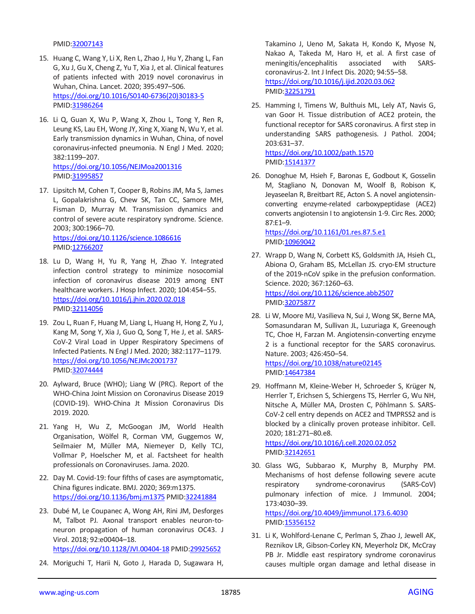PMID[:32007143](https://pubmed.ncbi.nlm.nih.gov/32007143)

- 15. Huang C, Wang Y, Li X, Ren L, Zhao J, Hu Y, Zhang L, Fan G, Xu J, Gu X, Cheng Z, Yu T, Xia J, et al. Clinical features of patients infected with 2019 novel coronavirus in Wuhan, China. Lancet. 2020; 395:497–506. [https://doi.org/10.1016/S0140-6736\(20\)30183-5](https://doi.org/10.1016/S0140-6736(20)30183-5) PMID[:31986264](https://pubmed.ncbi.nlm.nih.gov/31986264)
- 16. Li Q, Guan X, Wu P, Wang X, Zhou L, Tong Y, Ren R, Leung KS, Lau EH, Wong JY, Xing X, Xiang N, Wu Y, et al. Early transmission dynamics in Wuhan, China, of novel coronavirus-infected pneumonia. N Engl J Med. 2020; 382:1199–207. <https://doi.org/10.1056/NEJMoa2001316> PMID[:31995857](https://pubmed.ncbi.nlm.nih.gov/31995857)
- 17. Lipsitch M, Cohen T, Cooper B, Robins JM, Ma S, James L, Gopalakrishna G, Chew SK, Tan CC, Samore MH, Fisman D, Murray M. Transmission dynamics and control of severe acute respiratory syndrome. Science. 2003; 300:1966–70. <https://doi.org/10.1126/science.1086616> PMID[:12766207](https://pubmed.ncbi.nlm.nih.gov/12766207)
- 18. Lu D, Wang H, Yu R, Yang H, Zhao Y. Integrated infection control strategy to minimize nosocomial infection of coronavirus disease 2019 among ENT healthcare workers. J Hosp Infect. 2020; 104:454–55. <https://doi.org/10.1016/j.jhin.2020.02.018> PMID[:32114056](https://pubmed.ncbi.nlm.nih.gov/32114056)
- 19. Zou L, Ruan F, Huang M, Liang L, Huang H, Hong Z, Yu J, Kang M, Song Y, Xia J, Guo Q, Song T, He J, et al. SARS-CoV-2 Viral Load in Upper Respiratory Specimens of Infected Patients. N Engl J Med. 2020; 382:1177–1179. <https://doi.org/10.1056/NEJMc2001737> PMID[:32074444](https://pubmed.ncbi.nlm.nih.gov/32074444/)
- 20. Aylward, Bruce (WHO); Liang W (PRC). Report of the WHO-China Joint Mission on Coronavirus Disease 2019 (COVID-19). WHO-China Jt Mission Coronavirus Dis 2019. 2020.
- 21. Yang H, Wu Z, McGoogan JM, World Health Organisation, Wölfel R, Corman VM, Guggemos W, Seilmaier M, Müller MA, Niemeyer D, Kelly TCJ, Vollmar P, Hoelscher M, et al. Factsheet for health professionals on Coronaviruses. Jama. 2020.
- 22. Day M. Covid-19: four fifths of cases are asymptomatic, China figures indicate. BMJ. 2020; 369:m1375. <https://doi.org/10.1136/bmj.m1375> PMID[:32241884](https://pubmed.ncbi.nlm.nih.gov/32241884)
- 23. Dubé M, Le Coupanec A, Wong AH, Rini JM, Desforges M, Talbot PJ. Axonal transport enables neuron-toneuron propagation of human coronavirus OC43. J Virol. 2018; 92:e00404–18. <https://doi.org/10.1128/JVI.00404-18> PMID[:29925652](https://pubmed.ncbi.nlm.nih.gov/29925652)
- 24. Moriguchi T, Harii N, Goto J, Harada D, Sugawara H,

Takamino J, Ueno M, Sakata H, Kondo K, Myose N, Nakao A, Takeda M, Haro H, et al. A first case of meningitis/encephalitis associated with SARScoronavirus-2. Int J Infect Dis. 2020; 94:55–58. <https://doi.org/10.1016/j.ijid.2020.03.062> PMI[D:32251791](https://pubmed.ncbi.nlm.nih.gov/32251791)

- 25. Hamming I, Timens W, Bulthuis ML, Lely AT, Navis G, van Goor H. Tissue distribution of ACE2 protein, the functional receptor for SARS coronavirus. A first step in understanding SARS pathogenesis. J Pathol. 2004; 203:631–37. <https://doi.org/10.1002/path.1570> PMI[D:15141377](https://pubmed.ncbi.nlm.nih.gov/15141377)
- 26. Donoghue M, Hsieh F, Baronas E, Godbout K, Gosselin M, Stagliano N, Donovan M, Woolf B, Robison K, Jeyaseelan R, Breitbart RE, Acton S. A novel angiotensinconverting enzyme-related carboxypeptidase (ACE2) converts angiotensin I to angiotensin 1-9. Circ Res. 2000; 87:E1–9.

<https://doi.org/10.1161/01.res.87.5.e1> PMI[D:10969042](https://pubmed.ncbi.nlm.nih.gov/10969042)

- 27. Wrapp D, Wang N, Corbett KS, Goldsmith JA, Hsieh CL, Abiona O, Graham BS, McLellan JS. cryo-EM structure of the 2019-nCoV spike in the prefusion conformation. Science. 2020; 367:1260–63. <https://doi.org/10.1126/science.abb2507> PMI[D:32075877](https://pubmed.ncbi.nlm.nih.gov/32075877)
- 28. Li W, Moore MJ, Vasilieva N, Sui J, Wong SK, Berne MA, Somasundaran M, Sullivan JL, Luzuriaga K, Greenough TC, Choe H, Farzan M. Angiotensin-converting enzyme 2 is a functional receptor for the SARS coronavirus. Nature. 2003; 426:450–54. <https://doi.org/10.1038/nature02145> PMI[D:14647384](https://pubmed.ncbi.nlm.nih.gov/14647384)
- 29. Hoffmann M, Kleine-Weber H, Schroeder S, Krüger N, Herrler T, Erichsen S, Schiergens TS, Herrler G, Wu NH, Nitsche A, Müller MA, Drosten C, Pöhlmann S. SARS-CoV-2 cell entry depends on ACE2 and TMPRSS2 and is blocked by a clinically proven protease inhibitor. Cell. 2020; 181:271–80.e8. <https://doi.org/10.1016/j.cell.2020.02.052>

PMI[D:32142651](https://pubmed.ncbi.nlm.nih.gov/32142651)

30. Glass WG, Subbarao K, Murphy B, Murphy PM. Mechanisms of host defense following severe acute respiratory syndrome-coronavirus (SARS-CoV) pulmonary infection of mice. J Immunol. 2004; 173:4030–39. <https://doi.org/10.4049/jimmunol.173.6.4030>

PMID: 15356152

31. Li K, Wohlford-Lenane C, Perlman S, Zhao J, Jewell AK, Reznikov LR, Gibson-Corley KN, Meyerholz DK, McCray PB Jr. Middle east respiratory syndrome coronavirus causes multiple organ damage and lethal disease in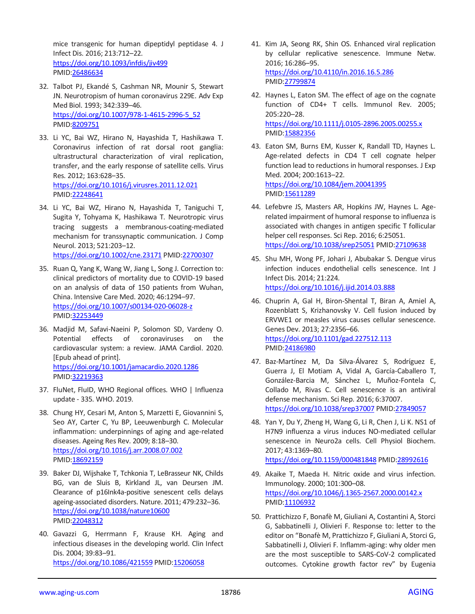mice transgenic for human dipeptidyl peptidase 4. J Infect Dis. 2016; 213:712–22. <https://doi.org/10.1093/infdis/jiv499> PMID[:26486634](https://pubmed.ncbi.nlm.nih.gov/26486634)

- 32. Talbot PJ, Ekandé S, Cashman NR, Mounir S, Stewart JN. Neurotropism of human coronavirus 229E. Adv Exp Med Biol. 1993; 342:339–46. [https://doi.org/10.1007/978-1-4615-2996-5\\_52](https://doi.org/10.1007/978-1-4615-2996-5_52) PMID[:8209751](https://pubmed.ncbi.nlm.nih.gov/8209751)
- 33. Li YC, Bai WZ, Hirano N, Hayashida T, Hashikawa T. Coronavirus infection of rat dorsal root ganglia: ultrastructural characterization of viral replication, transfer, and the early response of satellite cells. Virus Res. 2012; 163:628–35. <https://doi.org/10.1016/j.virusres.2011.12.021> PMID[:22248641](https://pubmed.ncbi.nlm.nih.gov/22248641)
- 34. Li YC, Bai WZ, Hirano N, Hayashida T, Taniguchi T, Sugita Y, Tohyama K, Hashikawa T. Neurotropic virus tracing suggests a membranous-coating-mediated mechanism for transsynaptic communication. J Comp Neurol. 2013; 521:203–12. <https://doi.org/10.1002/cne.23171> PMID[:22700307](https://pubmed.ncbi.nlm.nih.gov/22700307)
- 35. Ruan Q, Yang K, Wang W, Jiang L, Song J. Correction to: clinical predictors of mortality due to COVID-19 based on an analysis of data of 150 patients from Wuhan, China. Intensive Care Med. 2020; 46:1294–97. <https://doi.org/10.1007/s00134-020-06028-z> PMID[:32253449](https://pubmed.ncbi.nlm.nih.gov/32253449)
- 36. Madjid M, Safavi-Naeini P, Solomon SD, Vardeny O. Potential effects of coronaviruses on the cardiovascular system: a review. JAMA Cardiol. 2020. [Epub ahead of print]. <https://doi.org/10.1001/jamacardio.2020.1286> PMID[:32219363](https://pubmed.ncbi.nlm.nih.gov/32219363)
- 37. FluNet, FluID, WHO Regional offices. WHO | Influenza update - 335. WHO. 2019.
- 38. Chung HY, Cesari M, Anton S, Marzetti E, Giovannini S, Seo AY, Carter C, Yu BP, Leeuwenburgh C. Molecular inflammation: underpinnings of aging and age-related diseases. Ageing Res Rev. 2009; 8:18–30. <https://doi.org/10.1016/j.arr.2008.07.002> PMID[:18692159](https://pubmed.ncbi.nlm.nih.gov/18692159)
- 39. Baker DJ, Wijshake T, Tchkonia T, LeBrasseur NK, Childs BG, van de Sluis B, Kirkland JL, van Deursen JM. Clearance of p16Ink4a-positive senescent cells delays ageing-associated disorders. Nature. 2011; 479:232–36. <https://doi.org/10.1038/nature10600> PMID[:22048312](https://pubmed.ncbi.nlm.nih.gov/22048312)
- 40. Gavazzi G, Herrmann F, Krause KH. Aging and infectious diseases in the developing world. Clin Infect Dis. 2004; 39:83–91. <https://doi.org/10.1086/421559> PMI[D:15206058](https://pubmed.ncbi.nlm.nih.gov/15206058)
- 41. Kim JA, Seong RK, Shin OS. Enhanced viral replication by cellular replicative senescence. Immune Netw. 2016; 16:286–95. <https://doi.org/10.4110/in.2016.16.5.286> PMI[D:27799874](https://pubmed.ncbi.nlm.nih.gov/27799874)
- 42. Haynes L, Eaton SM. The effect of age on the cognate function of CD4+ T cells. Immunol Rev. 2005; 205:220–28. <https://doi.org/10.1111/j.0105-2896.2005.00255.x> PMI[D:15882356](https://pubmed.ncbi.nlm.nih.gov/15882356)
- 43. Eaton SM, Burns EM, Kusser K, Randall TD, Haynes L. Age-related defects in CD4 T cell cognate helper function lead to reductions in humoral responses. J Exp Med. 2004; 200:1613–22. <https://doi.org/10.1084/jem.20041395> PMI[D:15611289](https://pubmed.ncbi.nlm.nih.gov/15611289)
- 44. Lefebvre JS, Masters AR, Hopkins JW, Haynes L. Agerelated impairment of humoral response to influenza is associated with changes in antigen specific T follicular helper cell responses. Sci Rep. 2016; 6:25051. <https://doi.org/10.1038/srep25051> PMI[D:27109638](https://pubmed.ncbi.nlm.nih.gov/27109638)
- 45. Shu MH, Wong PF, Johari J, Abubakar S. Dengue virus infection induces endothelial cells senescence. Int J Infect Dis. 2014; 21:224. <https://doi.org/10.1016/j.ijid.2014.03.888>
- 46. Chuprin A, Gal H, Biron-Shental T, Biran A, Amiel A, Rozenblatt S, Krizhanovsky V. Cell fusion induced by ERVWE1 or measles virus causes cellular senescence. Genes Dev. 2013; 27:2356–66. <https://doi.org/10.1101/gad.227512.113> PMI[D:24186980](https://pubmed.ncbi.nlm.nih.gov/24186980)
- 47. Baz-Martínez M, Da Silva-Álvarez S, Rodríguez E, Guerra J, El Motiam A, Vidal A, García-Caballero T, González-Barcia M, Sánchez L, Muñoz-Fontela C, Collado M, Rivas C. Cell senescence is an antiviral defense mechanism. Sci Rep. 2016; 6:37007. <https://doi.org/10.1038/srep37007> PMI[D:27849057](https://pubmed.ncbi.nlm.nih.gov/27849057)
- 48. Yan Y, Du Y, Zheng H, Wang G, Li R, Chen J, Li K. NS1 of H7N9 influenza a virus induces NO-mediated cellular senescence in Neuro2a cells. Cell Physiol Biochem. 2017; 43:1369–80. <https://doi.org/10.1159/000481848> PMID[:28992616](https://pubmed.ncbi.nlm.nih.gov/28992616)
- 49. Akaike T, Maeda H. Nitric oxide and virus infection. Immunology. 2000; 101:300–08. <https://doi.org/10.1046/j.1365-2567.2000.00142.x> PMI[D:11106932](https://pubmed.ncbi.nlm.nih.gov/11106932)
- 50. Prattichizzo F, Bonafè M, Giuliani A, Costantini A, Storci G, Sabbatinelli J, Olivieri F. Response to: letter to the editor on "Bonafè M, Prattichizzo F, Giuliani A, Storci G, Sabbatinelli J, Olivieri F. Inflamm-aging: why older men are the most susceptible to SARS-CoV-2 complicated outcomes. Cytokine growth factor rev" by Eugenia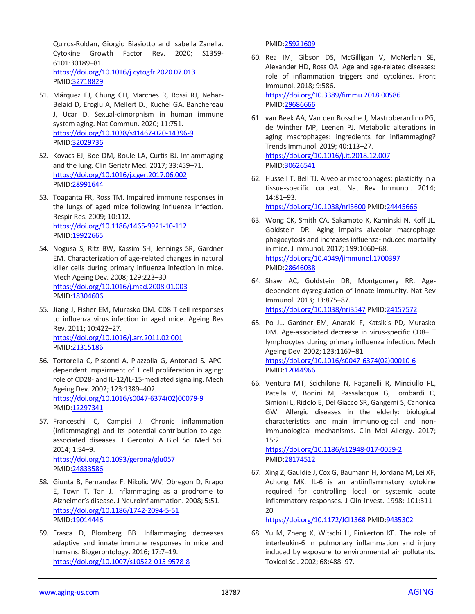Quiros-Roldan, Giorgio Biasiotto and Isabella Zanella. Cytokine Growth Factor Rev. 2020; S1359- 6101:30189–81. <https://doi.org/10.1016/j.cytogfr.2020.07.013> PMID[:32718829](https://pubmed.ncbi.nlm.nih.gov/32718829)

- 51. Márquez EJ, Chung CH, Marches R, Rossi RJ, Nehar-Belaid D, Eroglu A, Mellert DJ, Kuchel GA, Banchereau J, Ucar D. Sexual-dimorphism in human immune system aging. Nat Commun. 2020; 11:751. <https://doi.org/10.1038/s41467-020-14396-9> PMID[:32029736](https://pubmed.ncbi.nlm.nih.gov/32029736)
- 52. Kovacs EJ, Boe DM, Boule LA, Curtis BJ. Inflammaging and the lung. Clin Geriatr Med. 2017; 33:459–71. <https://doi.org/10.1016/j.cger.2017.06.002> PMID[:28991644](https://pubmed.ncbi.nlm.nih.gov/28991644)
- 53. Toapanta FR, Ross TM. Impaired immune responses in the lungs of aged mice following influenza infection. Respir Res. 2009; 10:112. <https://doi.org/10.1186/1465-9921-10-112> PMID[:19922665](https://pubmed.ncbi.nlm.nih.gov/19922665)
- 54. Nogusa S, Ritz BW, Kassim SH, Jennings SR, Gardner EM. Characterization of age-related changes in natural killer cells during primary influenza infection in mice. Mech Ageing Dev. 2008; 129:223–30. <https://doi.org/10.1016/j.mad.2008.01.003> PMID[:18304606](https://pubmed.ncbi.nlm.nih.gov/18304606)
- 55. Jiang J, Fisher EM, Murasko DM. CD8 T cell responses to influenza virus infection in aged mice. Ageing Res Rev. 2011; 10:422–27. <https://doi.org/10.1016/j.arr.2011.02.001> PMID[:21315186](https://pubmed.ncbi.nlm.nih.gov/21315186)
- 56. Tortorella C, Pisconti A, Piazzolla G, Antonaci S. APCdependent impairment of T cell proliferation in aging: role of CD28- and IL-12/IL-15-mediated signaling. Mech Ageing Dev. 2002; 123:1389–402. [https://doi.org/10.1016/s0047-6374\(02\)00079-9](https://doi.org/10.1016/s0047-6374(02)00079-9) PMID: 12297341
- 57. Franceschi C, Campisi J. Chronic inflammation (inflammaging) and its potential contribution to ageassociated diseases. J Gerontol A Biol Sci Med Sci. 2014; 1:S4–9. <https://doi.org/10.1093/gerona/glu057> PMID[:24833586](https://pubmed.ncbi.nlm.nih.gov/24833586/)
- 58. Giunta B, Fernandez F, Nikolic WV, Obregon D, Rrapo E, Town T, Tan J. Inflammaging as a prodrome to Alzheimer's disease. J Neuroinflammation. 2008; 5:51. <https://doi.org/10.1186/1742-2094-5-51> PMID[:19014446](https://pubmed.ncbi.nlm.nih.gov/19014446)
- 59. Frasca D, Blomberg BB. Inflammaging decreases adaptive and innate immune responses in mice and humans. Biogerontology. 2016; 17:7–19. <https://doi.org/10.1007/s10522-015-9578-8>

PMI[D:25921609](https://pubmed.ncbi.nlm.nih.gov/25921609)

- 60. Rea IM, Gibson DS, McGilligan V, McNerlan SE, Alexander HD, Ross OA. Age and age-related diseases: role of inflammation triggers and cytokines. Front Immunol. 2018; 9:586. <https://doi.org/10.3389/fimmu.2018.00586> PMI[D:29686666](https://pubmed.ncbi.nlm.nih.gov/29686666)
- 61. van Beek AA, Van den Bossche J, Mastroberardino PG, de Winther MP, Leenen PJ. Metabolic alterations in aging macrophages: ingredients for inflammaging? Trends Immunol. 2019; 40:113–27. <https://doi.org/10.1016/j.it.2018.12.007> PMI[D:30626541](https://pubmed.ncbi.nlm.nih.gov/30626541)
- 62. Hussell T, Bell TJ. Alveolar macrophages: plasticity in a tissue-specific context. Nat Rev Immunol. 2014; 14:81–93. <https://doi.org/10.1038/nri3600> PMID[:24445666](https://pubmed.ncbi.nlm.nih.gov/24445666)
- 63. Wong CK, Smith CA, Sakamoto K, Kaminski N, Koff JL, Goldstein DR. Aging impairs alveolar macrophage phagocytosis and increases influenza-induced mortality in mice. J Immunol. 2017; 199:1060–68. <https://doi.org/10.4049/jimmunol.1700397> PMI[D:28646038](https://pubmed.ncbi.nlm.nih.gov/28646038)
- 64. Shaw AC, Goldstein DR, Montgomery RR. Agedependent dysregulation of innate immunity. Nat Rev Immunol. 2013; 13:875–87. <https://doi.org/10.1038/nri3547> PMID[:24157572](https://pubmed.ncbi.nlm.nih.gov/24157572)
- 65. Po JL, Gardner EM, Anaraki F, Katsikis PD, Murasko DM. Age-associated decrease in virus-specific CD8+ T lymphocytes during primary influenza infection. Mech Ageing Dev. 2002; 123:1167–81. [https://doi.org/10.1016/s0047-6374\(02\)00010-6](https://doi.org/10.1016/s0047-6374(02)00010-6) PMI[D:12044966](https://pubmed.ncbi.nlm.nih.gov/12044966)
- 66. Ventura MT, Scichilone N, Paganelli R, Minciullo PL, Patella V, Bonini M, Passalacqua G, Lombardi C, Simioni L, Ridolo E, Del Giacco SR, Gangemi S, Canonica GW. Allergic diseases in the elderly: biological characteristics and main immunological and nonimmunological mechanisms. Clin Mol Allergy. 2017; 15:2.

<https://doi.org/10.1186/s12948-017-0059-2> PMI[D:28174512](https://pubmed.ncbi.nlm.nih.gov/28174512)

67. Xing Z, Gauldie J, Cox G, Baumann H, Jordana M, Lei XF, Achong MK. IL-6 is an antiinflammatory cytokine required for controlling local or systemic acute inflammatory responses. J Clin Invest. 1998; 101:311– 20.

<https://doi.org/10.1172/JCI1368> PMID[:9435302](https://pubmed.ncbi.nlm.nih.gov/9435302/)

68. Yu M, Zheng X, Witschi H, Pinkerton KE. The role of interleukin-6 in pulmonary inflammation and injury induced by exposure to environmental air pollutants. Toxicol Sci. 2002; 68:488–97.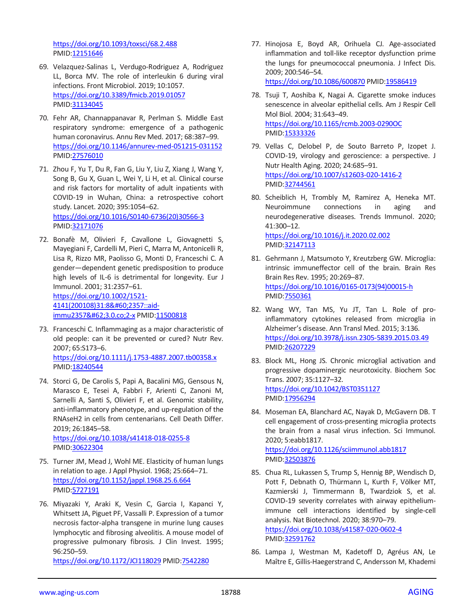<https://doi.org/10.1093/toxsci/68.2.488> PMID[:12151646](https://pubmed.ncbi.nlm.nih.gov/12151646)

- 69. Velazquez-Salinas L, Verdugo-Rodriguez A, Rodriguez LL, Borca MV. The role of interleukin 6 during viral infections. Front Microbiol. 2019; 10:1057. <https://doi.org/10.3389/fmicb.2019.01057> PMID[:31134045](https://pubmed.ncbi.nlm.nih.gov/31134045)
- 70. Fehr AR, Channappanavar R, Perlman S. Middle East respiratory syndrome: emergence of a pathogenic human coronavirus. Annu Rev Med. 2017; 68:387–99. <https://doi.org/10.1146/annurev-med-051215-031152> PMID[:27576010](https://pubmed.ncbi.nlm.nih.gov/27576010)
- 71. Zhou F, Yu T, Du R, Fan G, Liu Y, Liu Z, Xiang J, Wang Y, Song B, Gu X, Guan L, Wei Y, Li H, et al. Clinical course and risk factors for mortality of adult inpatients with COVID-19 in Wuhan, China: a retrospective cohort study. Lancet. 2020; 395:1054–62. [https://doi.org/10.1016/S0140-6736\(20\)30566-3](https://doi.org/10.1016/S0140-6736(20)30566-3) PMID[:32171076](https://pubmed.ncbi.nlm.nih.gov/32171076)
- 72. Bonafè M, Olivieri F, Cavallone L, Giovagnetti S, Mayegiani F, Cardelli M, Pieri C, Marra M, Antonicelli R, Lisa R, Rizzo MR, Paolisso G, Monti D, Franceschi C. A gender—dependent genetic predisposition to produce high levels of IL-6 is detrimental for longevity. Eur J Immunol. 2001; 31:2357–61. [https://doi.org/10.1002/1521-](https://doi.org/10.1002/1521-4141(200108)31:8<2357::aid-immu2357&) [4141\(200108\)31:8<2357::aid](https://doi.org/10.1002/1521-4141(200108)31:8<2357::aid-immu2357&)[immu2357>3.0.co;2-x](https://doi.org/10.1002/1521-4141(200108)31:8<2357::aid-immu2357&) PMID[:11500818](https://pubmed.ncbi.nlm.nih.gov/11500818)
- 73. Franceschi C. Inflammaging as a major characteristic of old people: can it be prevented or cured? Nutr Rev. 2007; 65:S173–6. <https://doi.org/10.1111/j.1753-4887.2007.tb00358.x> PMID[:18240544](https://pubmed.ncbi.nlm.nih.gov/18240544/)
- 74. Storci G, De Carolis S, Papi A, Bacalini MG, Gensous N, Marasco E, Tesei A, Fabbri F, Arienti C, Zanoni M, Sarnelli A, Santi S, Olivieri F, et al. Genomic stability, anti-inflammatory phenotype, and up-regulation of the RNAseH2 in cells from centenarians. Cell Death Differ. 2019; 26:1845–58. <https://doi.org/10.1038/s41418-018-0255-8>

PMID[:30622304](https://pubmed.ncbi.nlm.nih.gov/30622304)

- 75. Turner JM, Mead J, Wohl ME. Elasticity of human lungs in relation to age. J Appl Physiol. 1968; 25:664–71. <https://doi.org/10.1152/jappl.1968.25.6.664> PMID[:5727191](https://pubmed.ncbi.nlm.nih.gov/5727191)
- 76. Miyazaki Y, Araki K, Vesin C, Garcia I, Kapanci Y, Whitsett JA, Piguet PF, Vassalli P. Expression of a tumor necrosis factor-alpha transgene in murine lung causes lymphocytic and fibrosing alveolitis. A mouse model of progressive pulmonary fibrosis. J Clin Invest. 1995; 96:250–59.

<https://doi.org/10.1172/JCI118029> PMID[:7542280](https://pubmed.ncbi.nlm.nih.gov/7542280)

77. Hinojosa E, Boyd AR, Orihuela CJ. Age-associated inflammation and toll-like receptor dysfunction prime the lungs for pneumococcal pneumonia. J Infect Dis. 2009; 200:546–54. <https://doi.org/10.1086/600870> PMID[:19586419](https://pubmed.ncbi.nlm.nih.gov/19586419)

78. Tsuji T, Aoshiba K, Nagai A. Cigarette smoke induces senescence in alveolar epithelial cells. Am J Respir Cell Mol Biol. 2004; 31:643–49. <https://doi.org/10.1165/rcmb.2003-0290OC> PMI[D:15333326](https://pubmed.ncbi.nlm.nih.gov/15333326)

- 79. Vellas C, Delobel P, de Souto Barreto P, Izopet J. COVID-19, virology and geroscience: a perspective. J Nutr Health Aging. 2020; 24:685–91. <https://doi.org/10.1007/s12603-020-1416-2> PMI[D:32744561](https://pubmed.ncbi.nlm.nih.gov/32744561)
- 80. Scheiblich H, Trombly M, Ramirez A, Heneka MT. Neuroimmune connections in aging and neurodegenerative diseases. Trends Immunol. 2020; 41:300–12. <https://doi.org/10.1016/j.it.2020.02.002> PMI[D:32147113](https://pubmed.ncbi.nlm.nih.gov/32147113)
- 81. Gehrmann J, Matsumoto Y, Kreutzberg GW. Microglia: intrinsic immuneffector cell of the brain. Brain Res Brain Res Rev. 1995; 20:269–87. [https://doi.org/10.1016/0165-0173\(94\)00015-h](https://doi.org/10.1016/0165-0173(94)00015-h) PMI[D:7550361](https://pubmed.ncbi.nlm.nih.gov/7550361)
- 82. Wang WY, Tan MS, Yu JT, Tan L. Role of proinflammatory cytokines released from microglia in Alzheimer's disease. Ann Transl Med. 2015; 3:136. <https://doi.org/10.3978/j.issn.2305-5839.2015.03.49> PMI[D:26207229](https://pubmed.ncbi.nlm.nih.gov/26207229)
- 83. Block ML, Hong JS. Chronic microglial activation and progressive dopaminergic neurotoxicity. Biochem Soc Trans. 2007; 35:1127–32. <https://doi.org/10.1042/BST0351127> PMI[D:17956294](https://pubmed.ncbi.nlm.nih.gov/17956294)
- 84. Moseman EA, Blanchard AC, Nayak D, McGavern DB. T cell engagement of cross-presenting microglia protects the brain from a nasal virus infection. Sci Immunol. 2020; 5:eabb1817. <https://doi.org/10.1126/sciimmunol.abb1817>

PMI[D:32503876](https://pubmed.ncbi.nlm.nih.gov/32503876)

- 85. Chua RL, Lukassen S, Trump S, Hennig BP, Wendisch D, Pott F, Debnath O, Thürmann L, Kurth F, Völker MT, Kazmierski J, Timmermann B, Twardziok S, et al. COVID-19 severity correlates with airway epitheliumimmune cell interactions identified by single-cell analysis. Nat Biotechnol. 2020; 38:970–79. <https://doi.org/10.1038/s41587-020-0602-4> PMI[D:32591762](https://pubmed.ncbi.nlm.nih.gov/32591762)
- 86. Lampa J, Westman M, Kadetoff D, Agréus AN, Le Maître E, Gillis-Haegerstrand C, Andersson M, Khademi